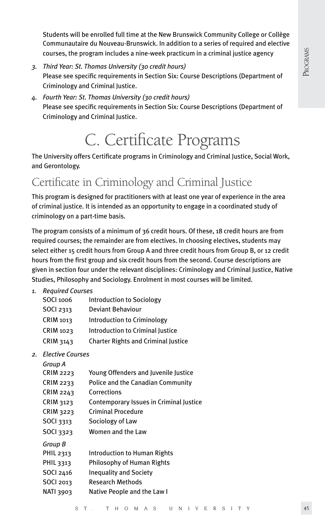Students will be enrolled full time at the New Brunswick Community College or Collège Communautaire du Nouveau-Brunswick. In addition to a series of required and elective courses, the program includes a nine-week practicum in a criminal justice agency

- *3. Third Year: St. Thomas University (30 credit hours)* Please see specific requirements in Section Six: Course Descriptions (Department of Criminology and Criminal Justice.
- *4. Fourth Year: St. Thomas University (30 credit hours)* Please see specific requirements in Section Six: Course Descriptions (Department of Criminology and Criminal Justice.

# C. Certificate Programs

The University offers Certificate programs in Criminology and Criminal Justice, Social Work, and Gerontology.

# Certificate in Criminology and Criminal Justice

This program is designed for practitioners with at least one year of experience in the area of criminal justice. It is intended as an opportunity to engage in a coordinated study of criminology on a part-time basis.

The program consists of a minimum of 36 credit hours. Of these, 18 credit hours are from required courses; the remainder are from electives. In choosing electives, students may select either 15 credit hours from Group A and three credit hours from Group B, or 12 credit hours from the first group and six credit hours from the second. Course descriptions are given in section four under the relevant disciplines: Criminology and Criminal Justice, Native Studies, Philosophy and Sociology. Enrolment in most courses will be limited.

#### *1. Required Courses*

| SOCI 1006        | Introduction to Sociology                  |
|------------------|--------------------------------------------|
| <b>SOCI 2313</b> | Deviant Behaviour                          |
| CRIM 1013        | Introduction to Criminology                |
| <b>CRIM 1023</b> | Introduction to Criminal Justice           |
| <b>CRIM 3143</b> | <b>Charter Rights and Criminal Justice</b> |
|                  |                                            |

*2. Elective Courses*

| Group A          |                                         |
|------------------|-----------------------------------------|
| <b>CRIM 2223</b> | Young Offenders and Juvenile Justice    |
| CRIM 2233        | Police and the Canadian Community       |
| CRIM 2243        | Corrections                             |
| <b>CRIM 3123</b> | Contemporary Issues in Criminal Justice |
| <b>CRIM 3223</b> | Criminal Procedure                      |
| <b>SOCI</b> 3313 | Sociology of Law                        |
| <b>SOCI 3323</b> | Women and the Law                       |
| Group B          |                                         |
| PHIL 2313        | <b>Introduction to Human Rights</b>     |
| PHIL 3313        | Philosophy of Human Rights              |
| SOCI 2416        | <b>Inequality and Society</b>           |
| <b>SOCI 2013</b> | Research Methods                        |
| NATI 3903        | Native People and the Law I             |
|                  |                                         |